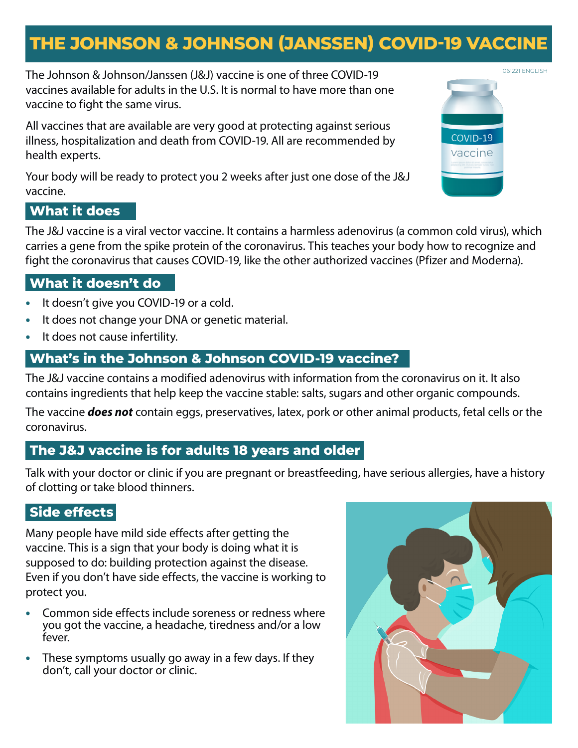# **THE JOHNSON & JOHNSON (JANSSEN) COVID-19 VACCINE**

061221 ENGLISH The Johnson & Johnson/Janssen (J&J) vaccine is one of three COVID-19 vaccines available for adults in the U.S. It is normal to have more than one vaccine to fight the same virus.

All vaccines that are available are very good at protecting against serious illness, hospitalization and death from COVID-19. All are recommended by health experts.

Your body will be ready to protect you 2 weeks after just one dose of the J&J vaccine.

# **What it does**

The J&J vaccine is a viral vector vaccine. It contains a harmless adenovirus (a common cold virus), which carries a gene from the spike protein of the coronavirus. This teaches your body how to recognize and fight the coronavirus that causes COVID-19, like the other authorized vaccines (Pfizer and Moderna).

# **What it doesn't do**

- **•** It doesn't give you COVID-19 or a cold.
- **•** It does not change your DNA or genetic material.
- **•** It does not cause infertility.

# **What's in the Johnson & Johnson COVID-19 vaccine?**

The J&J vaccine contains a modified adenovirus with information from the coronavirus on it. It also contains ingredients that help keep the vaccine stable: salts, sugars and other organic compounds.

The vaccine *does not* contain eggs, preservatives, latex, pork or other animal products, fetal cells or the coronavirus.

# **The J&J vaccine is for adults 18 years and older**

Talk with your doctor or clinic if you are pregnant or breastfeeding, have serious allergies, have a history of clotting or take blood thinners.

# **Side effects**

Many people have mild side effects after getting the vaccine. This is a sign that your body is doing what it is supposed to do: building protection against the disease. Even if you don't have side effects, the vaccine is working to protect you.

- **•** Common side effects include soreness or redness where you got the vaccine, a headache, tiredness and/or a low fever.
- **•** These symptoms usually go away in a few days. If they don't, call your doctor or clinic.